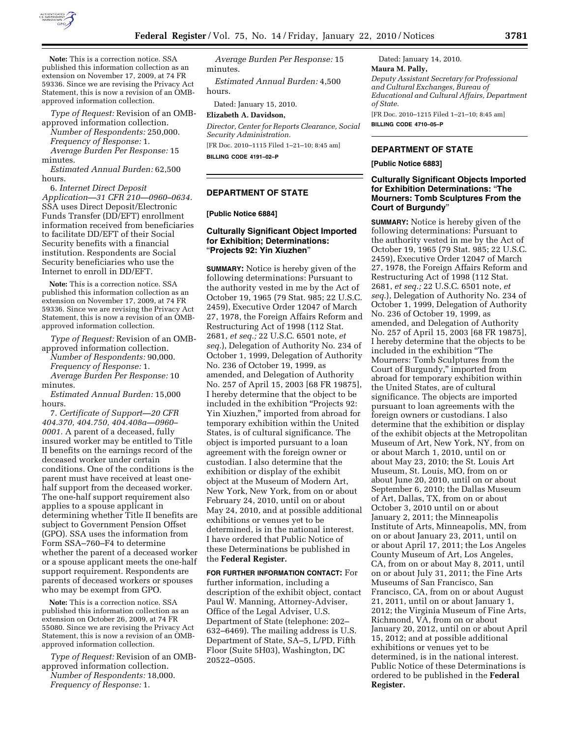

**Note:** This is a correction notice. SSA published this information collection as an extension on November 17, 2009, at 74 FR 59336. Since we are revising the Privacy Act Statement, this is now a revision of an OMBapproved information collection.

*Type of Request:* Revision of an OMBapproved information collection.

*Number of Respondents:* 250,000. *Frequency of Response:* 1.

*Average Burden Per Response:* 15 minutes.

*Estimated Annual Burden:* 62,500 hours.

6. *Internet Direct Deposit Application—31 CFR 210—0960–0634.*  SSA uses Direct Deposit/Electronic Funds Transfer (DD/EFT) enrollment information received from beneficiaries to facilitate DD/EFT of their Social Security benefits with a financial institution. Respondents are Social Security beneficiaries who use the Internet to enroll in DD/EFT.

**Note:** This is a correction notice. SSA published this information collection as an extension on November 17, 2009, at 74 FR 59336. Since we are revising the Privacy Act Statement, this is now a revision of an OMBapproved information collection.

*Type of Request:* Revision of an OMBapproved information collection. *Number of Respondents:* 90,000. *Frequency of Response:* 1. *Average Burden Per Response:* 10 minutes.

*Estimated Annual Burden:* 15,000 hours.

7. *Certificate of Support—20 CFR 404.370, 404.750, 404.408a—0960– 0001.* A parent of a deceased, fully insured worker may be entitled to Title II benefits on the earnings record of the deceased worker under certain conditions. One of the conditions is the parent must have received at least onehalf support from the deceased worker. The one-half support requirement also applies to a spouse applicant in determining whether Title II benefits are subject to Government Pension Offset (GPO). SSA uses the information from Form SSA–760–F4 to determine whether the parent of a deceased worker or a spouse applicant meets the one-half support requirement. Respondents are parents of deceased workers or spouses who may be exempt from GPO.

**Note:** This is a correction notice. SSA published this information collection as an extension on October 26, 2009, at 74 FR 55080. Since we are revising the Privacy Act Statement, this is now a revision of an OMBapproved information collection.

*Type of Request:* Revision of an OMBapproved information collection. *Number of Respondents:* 18,000. *Frequency of Response:* 1.

*Average Burden Per Response:* 15 minutes.

*Estimated Annual Burden:* 4,500 hours.

Dated: January 15, 2010.

**Elizabeth A. Davidson,** 

*Director, Center for Reports Clearance, Social Security Administration.* 

[FR Doc. 2010–1115 Filed 1–21–10; 8:45 am]

**BILLING CODE 4191–02–P** 

### **DEPARTMENT OF STATE**

## **[Public Notice 6884]**

# **Culturally Significant Object Imported for Exhibition; Determinations:**  ''**Projects 92: Yin Xiuzhen**''

**SUMMARY:** Notice is hereby given of the following determinations: Pursuant to the authority vested in me by the Act of October 19, 1965 (79 Stat. 985; 22 U.S.C. 2459), Executive Order 12047 of March 27, 1978, the Foreign Affairs Reform and Restructuring Act of 1998 (112 Stat. 2681, *et seq.;* 22 U.S.C. 6501 note, *et seq.*), Delegation of Authority No. 234 of October 1, 1999, Delegation of Authority No. 236 of October 19, 1999, as amended, and Delegation of Authority No. 257 of April 15, 2003 [68 FR 19875], I hereby determine that the object to be included in the exhibition "Projects 92: Yin Xiuzhen,'' imported from abroad for temporary exhibition within the United States, is of cultural significance. The object is imported pursuant to a loan agreement with the foreign owner or custodian. I also determine that the exhibition or display of the exhibit object at the Museum of Modern Art, New York, New York, from on or about February 24, 2010, until on or about May 24, 2010, and at possible additional exhibitions or venues yet to be determined, is in the national interest. I have ordered that Public Notice of these Determinations be published in the **Federal Register.** 

**FOR FURTHER INFORMATION CONTACT:** For further information, including a description of the exhibit object, contact Paul W. Manning, Attorney-Adviser, Office of the Legal Adviser, U.S. Department of State (telephone: 202– 632–6469). The mailing address is U.S. Department of State, SA–5, L/PD, Fifth Floor (Suite 5H03), Washington, DC 20522–0505.

Dated: January 14, 2010. **Maura M. Pally,**  *Deputy Assistant Secretary for Professional and Cultural Exchanges, Bureau of Educational and Cultural Affairs, Department of State.*  [FR Doc. 2010–1215 Filed 1–21–10; 8:45 am]

**BILLING CODE 4710–05–P** 

## **DEPARTMENT OF STATE**

**[Public Notice 6883]** 

## **Culturally Significant Objects Imported for Exhibition Determinations:** ''**The Mourners: Tomb Sculptures From the Court of Burgundy**''

**SUMMARY:** Notice is hereby given of the following determinations: Pursuant to the authority vested in me by the Act of October 19, 1965 (79 Stat. 985; 22 U.S.C. 2459), Executive Order 12047 of March 27, 1978, the Foreign Affairs Reform and Restructuring Act of 1998 (112 Stat. 2681, *et seq.;* 22 U.S.C. 6501 note, *et seq.*), Delegation of Authority No. 234 of October 1, 1999, Delegation of Authority No. 236 of October 19, 1999, as amended, and Delegation of Authority No. 257 of April 15, 2003 [68 FR 19875], I hereby determine that the objects to be included in the exhibition ''The Mourners: Tomb Sculptures from the Court of Burgundy,'' imported from abroad for temporary exhibition within the United States, are of cultural significance. The objects are imported pursuant to loan agreements with the foreign owners or custodians. I also determine that the exhibition or display of the exhibit objects at the Metropolitan Museum of Art, New York, NY, from on or about March 1, 2010, until on or about May 23, 2010; the St. Louis Art Museum, St. Louis, MO, from on or about June 20, 2010, until on or about September 6, 2010; the Dallas Museum of Art, Dallas, TX, from on or about October 3, 2010 until on or about January 2, 2011; the Minneapolis Institute of Arts, Minneapolis, MN, from on or about January 23, 2011, until on or about April 17, 2011; the Los Angeles County Museum of Art, Los Angeles, CA, from on or about May 8, 2011, until on or about July 31, 2011; the Fine Arts Museums of San Francisco, San Francisco, CA, from on or about August 21, 2011, until on or about January 1, 2012; the Virginia Museum of Fine Arts, Richmond, VA, from on or about January 20, 2012, until on or about April 15, 2012; and at possible additional exhibitions or venues yet to be determined, is in the national interest. Public Notice of these Determinations is ordered to be published in the **Federal Register.**